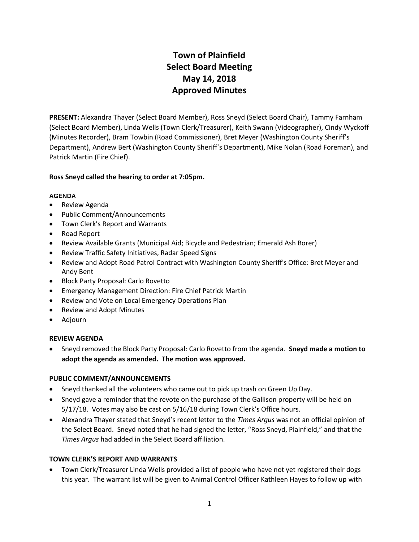# **Town of Plainfield Select Board Meeting May 14, 2018 Approved Minutes**

**PRESENT:** Alexandra Thayer (Select Board Member), Ross Sneyd (Select Board Chair), Tammy Farnham (Select Board Member), Linda Wells (Town Clerk/Treasurer), Keith Swann (Videographer), Cindy Wyckoff (Minutes Recorder), Bram Towbin (Road Commissioner), Bret Meyer (Washington County Sheriff's Department), Andrew Bert (Washington County Sheriff's Department), Mike Nolan (Road Foreman), and Patrick Martin (Fire Chief).

## **Ross Sneyd called the hearing to order at 7:05pm.**

## **AGENDA**

- Review Agenda
- Public Comment/Announcements
- Town Clerk's Report and Warrants
- Road Report
- Review Available Grants (Municipal Aid; Bicycle and Pedestrian; Emerald Ash Borer)
- Review Traffic Safety Initiatives, Radar Speed Signs
- Review and Adopt Road Patrol Contract with Washington County Sheriff's Office: Bret Meyer and Andy Bent
- Block Party Proposal: Carlo Rovetto
- Emergency Management Direction: Fire Chief Patrick Martin
- Review and Vote on Local Emergency Operations Plan
- Review and Adopt Minutes
- Adjourn

## **REVIEW AGENDA**

 Sneyd removed the Block Party Proposal: Carlo Rovetto from the agenda. **Sneyd made a motion to adopt the agenda as amended. The motion was approved.**

## **PUBLIC COMMENT/ANNOUNCEMENTS**

- Sneyd thanked all the volunteers who came out to pick up trash on Green Up Day.
- Sneyd gave a reminder that the revote on the purchase of the Gallison property will be held on 5/17/18. Votes may also be cast on 5/16/18 during Town Clerk's Office hours.
- Alexandra Thayer stated that Sneyd's recent letter to the *Times Argus* was not an official opinion of the Select Board. Sneyd noted that he had signed the letter, "Ross Sneyd, Plainfield," and that the *Times Argus* had added in the Select Board affiliation.

## **TOWN CLERK'S REPORT AND WARRANTS**

 Town Clerk/Treasurer Linda Wells provided a list of people who have not yet registered their dogs this year. The warrant list will be given to Animal Control Officer Kathleen Hayes to follow up with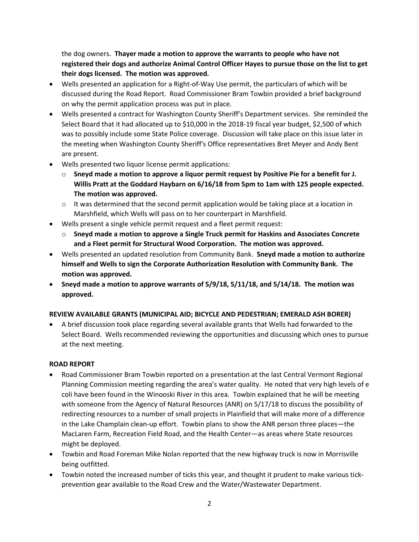the dog owners. **Thayer made a motion to approve the warrants to people who have not registered their dogs and authorize Animal Control Officer Hayes to pursue those on the list to get their dogs licensed. The motion was approved.** 

- Wells presented an application for a Right-of-Way Use permit, the particulars of which will be discussed during the Road Report. Road Commissioner Bram Towbin provided a brief background on why the permit application process was put in place.
- Wells presented a contract for Washington County Sheriff's Department services. She reminded the Select Board that it had allocated up to \$10,000 in the 2018-19 fiscal year budget, \$2,500 of which was to possibly include some State Police coverage. Discussion will take place on this issue later in the meeting when Washington County Sheriff's Office representatives Bret Meyer and Andy Bent are present.
- Wells presented two liquor license permit applications:
	- o **Sneyd made a motion to approve a liquor permit request by Positive Pie for a benefit for J. Willis Pratt at the Goddard Haybarn on 6/16/18 from 5pm to 1am with 125 people expected. The motion was approved.**
	- $\circ$  It was determined that the second permit application would be taking place at a location in Marshfield, which Wells will pass on to her counterpart in Marshfield.
- Wells present a single vehicle permit request and a fleet permit request:
	- o **Sneyd made a motion to approve a Single Truck permit for Haskins and Associates Concrete and a Fleet permit for Structural Wood Corporation. The motion was approved.**
- Wells presented an updated resolution from Community Bank. **Sneyd made a motion to authorize himself and Wells to sign the Corporate Authorization Resolution with Community Bank. The motion was approved.**
- **Sneyd made a motion to approve warrants of 5/9/18, 5/11/18, and 5/14/18. The motion was approved.**

# **REVIEW AVAILABLE GRANTS (MUNICIPAL AID; BICYCLE AND PEDESTRIAN; EMERALD ASH BORER)**

 A brief discussion took place regarding several available grants that Wells had forwarded to the Select Board. Wells recommended reviewing the opportunities and discussing which ones to pursue at the next meeting.

## **ROAD REPORT**

- Road Commissioner Bram Towbin reported on a presentation at the last Central Vermont Regional Planning Commission meeting regarding the area's water quality. He noted that very high levels of e coli have been found in the Winooski River in this area. Towbin explained that he will be meeting with someone from the Agency of Natural Resources (ANR) on 5/17/18 to discuss the possibility of redirecting resources to a number of small projects in Plainfield that will make more of a difference in the Lake Champlain clean-up effort. Towbin plans to show the ANR person three places—the MacLaren Farm, Recreation Field Road, and the Health Center—as areas where State resources might be deployed.
- Towbin and Road Foreman Mike Nolan reported that the new highway truck is now in Morrisville being outfitted.
- Towbin noted the increased number of ticks this year, and thought it prudent to make various tickprevention gear available to the Road Crew and the Water/Wastewater Department.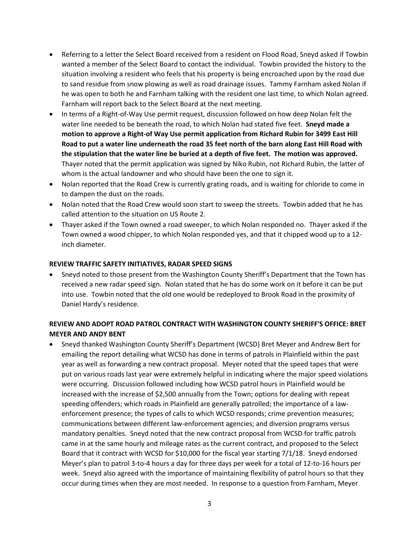- Referring to a letter the Select Board received from a resident on Flood Road, Sneyd asked if Towbin wanted a member of the Select Board to contact the individual. Towbin provided the history to the situation involving a resident who feels that his property is being encroached upon by the road due to sand residue from snow plowing as well as road drainage issues. Tammy Farnham asked Nolan if he was open to both he and Farnham talking with the resident one last time, to which Nolan agreed. Farnham will report back to the Select Board at the next meeting.
- In terms of a Right-of-Way Use permit request, discussion followed on how deep Nolan felt the water line needed to be beneath the road, to which Nolan had stated five feet. **Sneyd made a motion to approve a Right-of Way Use permit application from Richard Rubin for 3499 East Hill Road to put a water line underneath the road 35 feet north of the barn along East Hill Road with the stipulation that the water line be buried at a depth of five feet. The motion was approved.**  Thayer noted that the permit application was signed by Niko Rubin, not Richard Rubin, the latter of whom is the actual landowner and who should have been the one to sign it.
- Nolan reported that the Road Crew is currently grating roads, and is waiting for chloride to come in to dampen the dust on the roads.
- Nolan noted that the Road Crew would soon start to sweep the streets. Towbin added that he has called attention to the situation on US Route 2.
- Thayer asked if the Town owned a road sweeper, to which Nolan responded no. Thayer asked if the Town owned a wood chipper, to which Nolan responded yes, and that it chipped wood up to a 12 inch diameter.

## **REVIEW TRAFFIC SAFETY INITIATIVES, RADAR SPEED SIGNS**

 Sneyd noted to those present from the Washington County Sheriff's Department that the Town has received a new radar speed sign. Nolan stated that he has do some work on it before it can be put into use. Towbin noted that the old one would be redeployed to Brook Road in the proximity of Daniel Hardy's residence.

# **REVIEW AND ADOPT ROAD PATROL CONTRACT WITH WASHINGTON COUNTY SHERIFF'S OFFICE: BRET MEYER AND ANDY BENT**

 Sneyd thanked Washington County Sheriff's Department (WCSD) Bret Meyer and Andrew Bert for emailing the report detailing what WCSD has done in terms of patrols in Plainfield within the past year as well as forwarding a new contract proposal. Meyer noted that the speed tapes that were put on various roads last year were extremely helpful in indicating where the major speed violations were occurring. Discussion followed including how WCSD patrol hours in Plainfield would be increased with the increase of \$2,500 annually from the Town; options for dealing with repeat speeding offenders; which roads in Plainfield are generally patrolled; the importance of a lawenforcement presence; the types of calls to which WCSD responds; crime prevention measures; communications between different law-enforcement agencies; and diversion programs versus mandatory penalties. Sneyd noted that the new contract proposal from WCSD for traffic patrols came in at the same hourly and mileage rates as the current contract, and proposed to the Select Board that it contract with WCSD for \$10,000 for the fiscal year starting 7/1/18. Sneyd endorsed Meyer's plan to patrol 3-to-4 hours a day for three days per week for a total of 12-to-16 hours per week. Sneyd also agreed with the importance of maintaining flexibility of patrol hours so that they occur during times when they are most needed. In response to a question from Farnham, Meyer